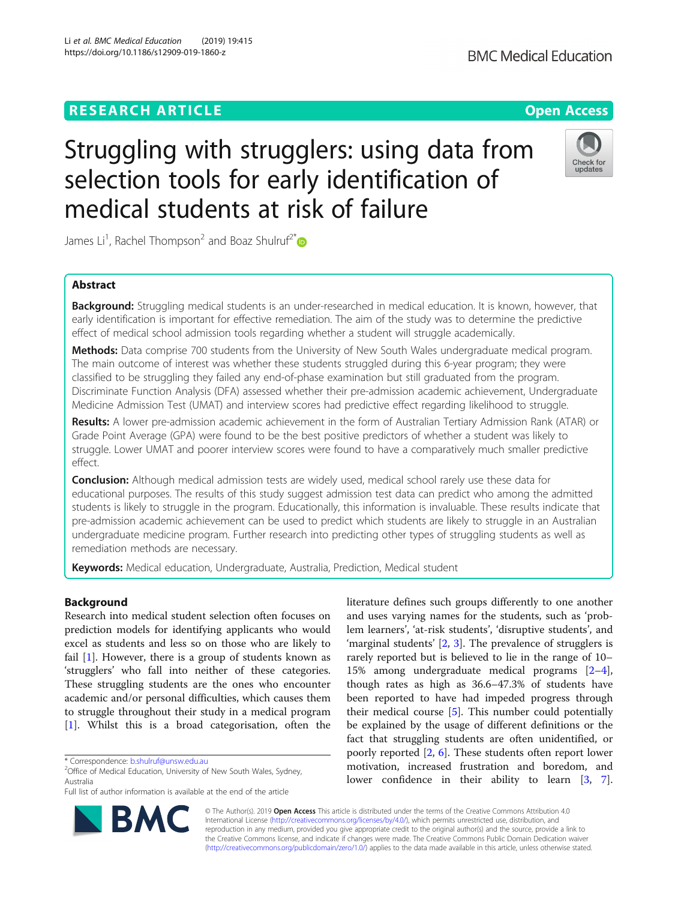## **RESEARCH ARTICLE Example 2014 12:30 The Contract of Contract ACCESS**

Li et al. BMC Medical Education (2019) 19:415 https://doi.org/10.1186/s12909-019-1860-z

# Struggling with strugglers: using data from selection tools for early identification of medical students at risk of failure

James Li<sup>1</sup>, Rachel Thompson<sup>2</sup> and Boaz Shulruf<sup>2\*</sup>

## Abstract

Background: Struggling medical students is an under-researched in medical education. It is known, however, that early identification is important for effective remediation. The aim of the study was to determine the predictive effect of medical school admission tools regarding whether a student will struggle academically.

Methods: Data comprise 700 students from the University of New South Wales undergraduate medical program. The main outcome of interest was whether these students struggled during this 6-year program; they were classified to be struggling they failed any end-of-phase examination but still graduated from the program. Discriminate Function Analysis (DFA) assessed whether their pre-admission academic achievement, Undergraduate Medicine Admission Test (UMAT) and interview scores had predictive effect regarding likelihood to struggle.

Results: A lower pre-admission academic achievement in the form of Australian Tertiary Admission Rank (ATAR) or Grade Point Average (GPA) were found to be the best positive predictors of whether a student was likely to struggle. Lower UMAT and poorer interview scores were found to have a comparatively much smaller predictive effect.

**Conclusion:** Although medical admission tests are widely used, medical school rarely use these data for educational purposes. The results of this study suggest admission test data can predict who among the admitted students is likely to struggle in the program. Educationally, this information is invaluable. These results indicate that pre-admission academic achievement can be used to predict which students are likely to struggle in an Australian undergraduate medicine program. Further research into predicting other types of struggling students as well as remediation methods are necessary.

Keywords: Medical education, Undergraduate, Australia, Prediction, Medical student

## Background

Research into medical student selection often focuses on prediction models for identifying applicants who would excel as students and less so on those who are likely to fail  $[1]$  $[1]$ . However, there is a group of students known as 'strugglers' who fall into neither of these categories. These struggling students are the ones who encounter academic and/or personal difficulties, which causes them to struggle throughout their study in a medical program [[1\]](#page-5-0). Whilst this is a broad categorisation, often the

\* Correspondence: [b.shulruf@unsw.edu.au](mailto:b.shulruf@unsw.edu.au) <sup>2</sup>

<sup>2</sup>Office of Medical Education, University of New South Wales, Sydney, Australia

Full list of author information is available at the end of the article

been reported to have had impeded progress through their medical course  $[5]$ . This number could potentially be explained by the usage of different definitions or the fact that struggling students are often unidentified, or poorly reported [\[2,](#page-5-0) [6](#page-5-0)]. These students often report lower motivation, increased frustration and boredom, and lower confidence in their ability to learn [\[3,](#page-5-0) [7](#page-5-0)]. © The Author(s). 2019 **Open Access** This article is distributed under the terms of the Creative Commons Attribution 4.0

International License [\(http://creativecommons.org/licenses/by/4.0/](http://creativecommons.org/licenses/by/4.0/)), which permits unrestricted use, distribution, and reproduction in any medium, provided you give appropriate credit to the original author(s) and the source, provide a link to the Creative Commons license, and indicate if changes were made. The Creative Commons Public Domain Dedication waiver [\(http://creativecommons.org/publicdomain/zero/1.0/](http://creativecommons.org/publicdomain/zero/1.0/)) applies to the data made available in this article, unless otherwise stated.

literature defines such groups differently to one another

and uses varying names for the students, such as 'problem learners', 'at-risk students', 'disruptive students', and 'marginal students'  $[2, 3]$  $[2, 3]$  $[2, 3]$ . The prevalence of strugglers is rarely reported but is believed to lie in the range of 10– 15% among undergraduate medical programs [\[2](#page-5-0)–[4](#page-5-0)], though rates as high as 36.6–47.3% of students have



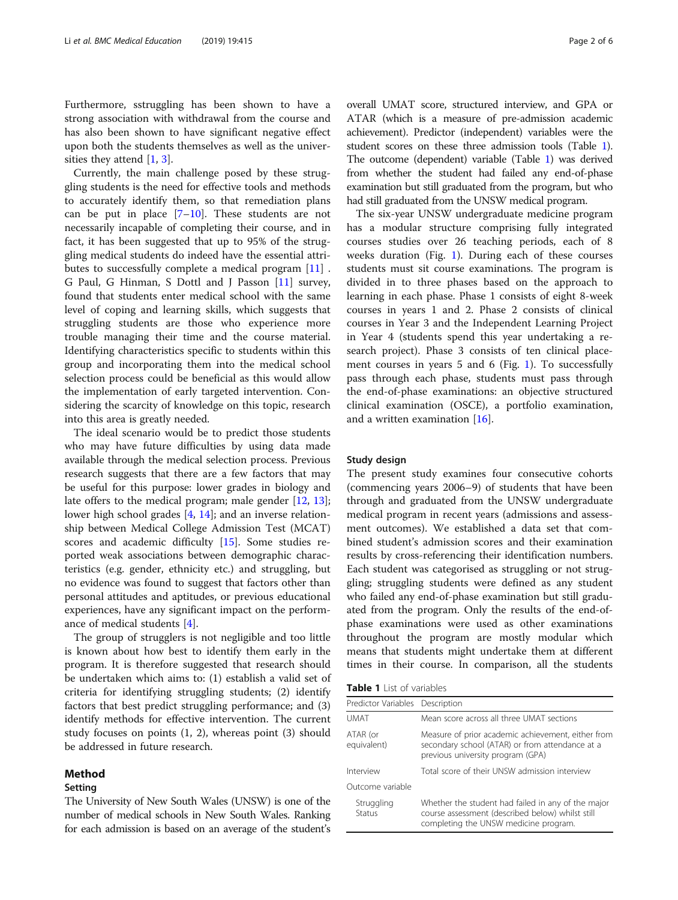Furthermore, sstruggling has been shown to have a strong association with withdrawal from the course and has also been shown to have significant negative effect upon both the students themselves as well as the universities they attend [[1,](#page-5-0) [3\]](#page-5-0).

Currently, the main challenge posed by these struggling students is the need for effective tools and methods to accurately identify them, so that remediation plans can be put in place  $[7-10]$  $[7-10]$  $[7-10]$  $[7-10]$ . These students are not necessarily incapable of completing their course, and in fact, it has been suggested that up to 95% of the struggling medical students do indeed have the essential attributes to successfully complete a medical program [[11\]](#page-5-0) . G Paul, G Hinman, S Dottl and J Passon [[11](#page-5-0)] survey, found that students enter medical school with the same level of coping and learning skills, which suggests that struggling students are those who experience more trouble managing their time and the course material. Identifying characteristics specific to students within this group and incorporating them into the medical school selection process could be beneficial as this would allow the implementation of early targeted intervention. Considering the scarcity of knowledge on this topic, research into this area is greatly needed.

The ideal scenario would be to predict those students who may have future difficulties by using data made available through the medical selection process. Previous research suggests that there are a few factors that may be useful for this purpose: lower grades in biology and late offers to the medical program; male gender [\[12](#page-5-0), [13](#page-5-0)]; lower high school grades [[4,](#page-5-0) [14\]](#page-5-0); and an inverse relationship between Medical College Admission Test (MCAT) scores and academic difficulty [\[15\]](#page-5-0). Some studies reported weak associations between demographic characteristics (e.g. gender, ethnicity etc.) and struggling, but no evidence was found to suggest that factors other than personal attitudes and aptitudes, or previous educational experiences, have any significant impact on the performance of medical students [\[4](#page-5-0)].

The group of strugglers is not negligible and too little is known about how best to identify them early in the program. It is therefore suggested that research should be undertaken which aims to: (1) establish a valid set of criteria for identifying struggling students; (2) identify factors that best predict struggling performance; and (3) identify methods for effective intervention. The current study focuses on points (1, 2), whereas point (3) should be addressed in future research.

## Method

#### Setting

The University of New South Wales (UNSW) is one of the number of medical schools in New South Wales. Ranking for each admission is based on an average of the student's overall UMAT score, structured interview, and GPA or ATAR (which is a measure of pre-admission academic achievement). Predictor (independent) variables were the student scores on these three admission tools (Table 1). The outcome (dependent) variable (Table 1) was derived from whether the student had failed any end-of-phase examination but still graduated from the program, but who had still graduated from the UNSW medical program.

The six-year UNSW undergraduate medicine program has a modular structure comprising fully integrated courses studies over 26 teaching periods, each of 8 weeks duration (Fig. [1](#page-2-0)). During each of these courses students must sit course examinations. The program is divided in to three phases based on the approach to learning in each phase. Phase 1 consists of eight 8-week courses in years 1 and 2. Phase 2 consists of clinical courses in Year 3 and the Independent Learning Project in Year 4 (students spend this year undertaking a research project). Phase 3 consists of ten clinical placement courses in years 5 and 6 (Fig. [1\)](#page-2-0). To successfully pass through each phase, students must pass through the end-of-phase examinations: an objective structured clinical examination (OSCE), a portfolio examination, and a written examination [[16\]](#page-5-0).

## Study design

The present study examines four consecutive cohorts (commencing years 2006–9) of students that have been through and graduated from the UNSW undergraduate medical program in recent years (admissions and assessment outcomes). We established a data set that combined student's admission scores and their examination results by cross-referencing their identification numbers. Each student was categorised as struggling or not struggling; struggling students were defined as any student who failed any end-of-phase examination but still graduated from the program. Only the results of the end-ofphase examinations were used as other examinations throughout the program are mostly modular which means that students might undertake them at different times in their course. In comparison, all the students

Table 1 List of variables

| Predictor Variables Description |                                                                                                                                                 |  |  |
|---------------------------------|-------------------------------------------------------------------------------------------------------------------------------------------------|--|--|
| <b>UMAT</b>                     | Mean score across all three UMAT sections                                                                                                       |  |  |
| ATAR (or<br>equivalent)         | Measure of prior academic achievement, either from<br>secondary school (ATAR) or from attendance at a<br>previous university program (GPA)      |  |  |
| Interview                       | Total score of their UNSW admission interview                                                                                                   |  |  |
| Outcome variable                |                                                                                                                                                 |  |  |
| Struggling<br>Status            | Whether the student had failed in any of the major<br>course assessment (described below) whilst still<br>completing the UNSW medicine program. |  |  |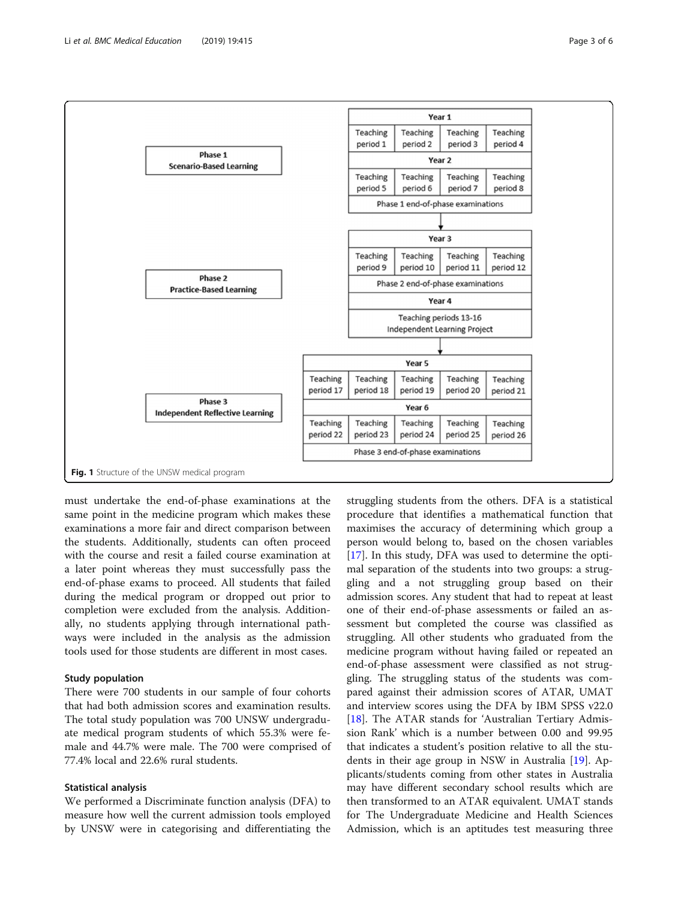<span id="page-2-0"></span>

must undertake the end-of-phase examinations at the same point in the medicine program which makes these examinations a more fair and direct comparison between the students. Additionally, students can often proceed with the course and resit a failed course examination at a later point whereas they must successfully pass the end-of-phase exams to proceed. All students that failed during the medical program or dropped out prior to completion were excluded from the analysis. Additionally, no students applying through international pathways were included in the analysis as the admission tools used for those students are different in most cases.

## Study population

There were 700 students in our sample of four cohorts that had both admission scores and examination results. The total study population was 700 UNSW undergraduate medical program students of which 55.3% were female and 44.7% were male. The 700 were comprised of 77.4% local and 22.6% rural students.

## Statistical analysis

We performed a Discriminate function analysis (DFA) to measure how well the current admission tools employed by UNSW were in categorising and differentiating the

struggling students from the others. DFA is a statistical procedure that identifies a mathematical function that maximises the accuracy of determining which group a person would belong to, based on the chosen variables [[17\]](#page-5-0). In this study, DFA was used to determine the optimal separation of the students into two groups: a struggling and a not struggling group based on their admission scores. Any student that had to repeat at least one of their end-of-phase assessments or failed an assessment but completed the course was classified as struggling. All other students who graduated from the medicine program without having failed or repeated an end-of-phase assessment were classified as not struggling. The struggling status of the students was compared against their admission scores of ATAR, UMAT and interview scores using the DFA by IBM SPSS v22.0 [[18\]](#page-5-0). The ATAR stands for 'Australian Tertiary Admission Rank' which is a number between 0.00 and 99.95 that indicates a student's position relative to all the students in their age group in NSW in Australia [[19\]](#page-5-0). Applicants/students coming from other states in Australia may have different secondary school results which are then transformed to an ATAR equivalent. UMAT stands for The Undergraduate Medicine and Health Sciences Admission, which is an aptitudes test measuring three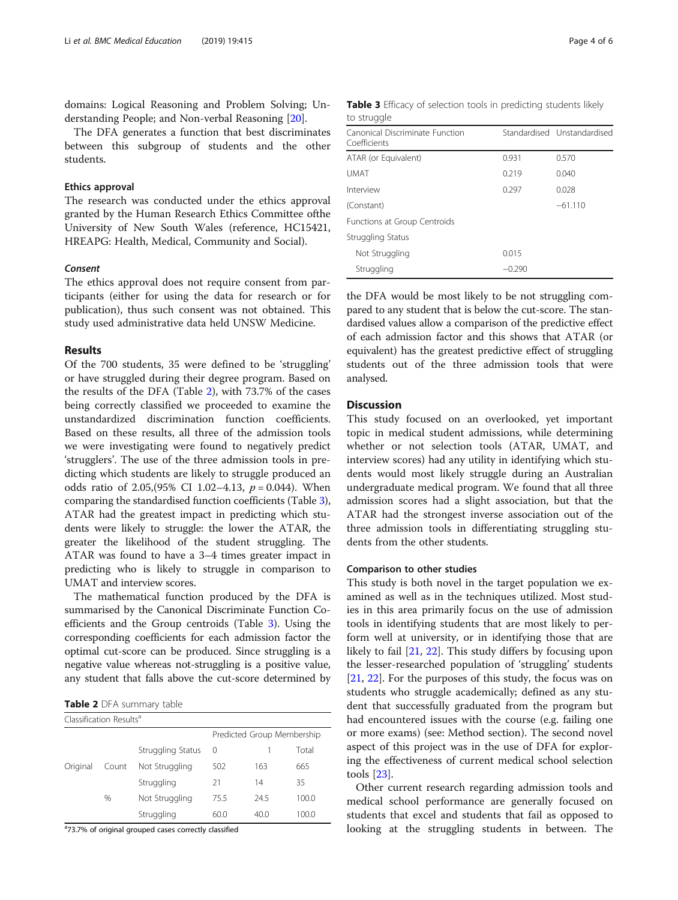domains: Logical Reasoning and Problem Solving; Understanding People; and Non-verbal Reasoning [[20\]](#page-5-0).

The DFA generates a function that best discriminates between this subgroup of students and the other students.

## Ethics approval

The research was conducted under the ethics approval granted by the Human Research Ethics Committee ofthe University of New South Wales (reference, HC15421, HREAPG: Health, Medical, Community and Social).

#### Consent

The ethics approval does not require consent from participants (either for using the data for research or for publication), thus such consent was not obtained. This study used administrative data held UNSW Medicine.

#### Results

Of the 700 students, 35 were defined to be 'struggling' or have struggled during their degree program. Based on the results of the DFA (Table 2), with 73.7% of the cases being correctly classified we proceeded to examine the unstandardized discrimination function coefficients. Based on these results, all three of the admission tools we were investigating were found to negatively predict 'strugglers'. The use of the three admission tools in predicting which students are likely to struggle produced an odds ratio of 2.05, (95% CI 1.02–4.13,  $p = 0.044$ ). When comparing the standardised function coefficients (Table 3), ATAR had the greatest impact in predicting which students were likely to struggle: the lower the ATAR, the greater the likelihood of the student struggling. The ATAR was found to have a 3–4 times greater impact in predicting who is likely to struggle in comparison to UMAT and interview scores.

The mathematical function produced by the DFA is summarised by the Canonical Discriminate Function Coefficients and the Group centroids (Table 3). Using the corresponding coefficients for each admission factor the optimal cut-score can be produced. Since struggling is a negative value whereas not-struggling is a positive value, any student that falls above the cut-score determined by

Table 2 DFA summary table

| Classification Results <sup>a</sup> |       |                   |                            |      |       |  |  |
|-------------------------------------|-------|-------------------|----------------------------|------|-------|--|--|
|                                     |       |                   | Predicted Group Membership |      |       |  |  |
|                                     |       | Struggling Status | $\left($                   |      | Total |  |  |
| Original                            | Count | Not Struggling    | 502                        | 163  | 665   |  |  |
|                                     |       | Struggling        | 21                         | 14   | 35    |  |  |
|                                     | %     | Not Struggling    | 75.5                       | 24.5 | 100.0 |  |  |
|                                     |       | Struggling        | 60.0                       | 40.0 | 100.0 |  |  |

<sup>a</sup>73.7% of original grouped cases correctly classified

|             |  |  |  | Table 3 Efficacy of selection tools in predicting students likely |  |
|-------------|--|--|--|-------------------------------------------------------------------|--|
| to struggle |  |  |  |                                                                   |  |

| Canonical Discriminate Function |          | Standardised Unstandardised |  |
|---------------------------------|----------|-----------------------------|--|
| Coefficients                    |          |                             |  |
| ATAR (or Equivalent)            | 0.931    | 0.570                       |  |
| <b>UMAT</b>                     | 0.219    | 0.040                       |  |
| Interview                       | 0.297    | 0.028                       |  |
| (Constant)                      |          | $-61.110$                   |  |
| Functions at Group Centroids    |          |                             |  |
| Struggling Status               |          |                             |  |
| Not Struggling                  | 0.015    |                             |  |
| Struggling                      | $-0.290$ |                             |  |

the DFA would be most likely to be not struggling compared to any student that is below the cut-score. The standardised values allow a comparison of the predictive effect of each admission factor and this shows that ATAR (or equivalent) has the greatest predictive effect of struggling students out of the three admission tools that were analysed.

## **Discussion**

This study focused on an overlooked, yet important topic in medical student admissions, while determining whether or not selection tools (ATAR, UMAT, and interview scores) had any utility in identifying which students would most likely struggle during an Australian undergraduate medical program. We found that all three admission scores had a slight association, but that the ATAR had the strongest inverse association out of the three admission tools in differentiating struggling students from the other students.

## Comparison to other studies

This study is both novel in the target population we examined as well as in the techniques utilized. Most studies in this area primarily focus on the use of admission tools in identifying students that are most likely to perform well at university, or in identifying those that are likely to fail [\[21](#page-5-0), [22](#page-5-0)]. This study differs by focusing upon the lesser-researched population of 'struggling' students [[21,](#page-5-0) [22\]](#page-5-0). For the purposes of this study, the focus was on students who struggle academically; defined as any student that successfully graduated from the program but had encountered issues with the course (e.g. failing one or more exams) (see: Method section). The second novel aspect of this project was in the use of DFA for exploring the effectiveness of current medical school selection tools [[23](#page-5-0)].

Other current research regarding admission tools and medical school performance are generally focused on students that excel and students that fail as opposed to looking at the struggling students in between. The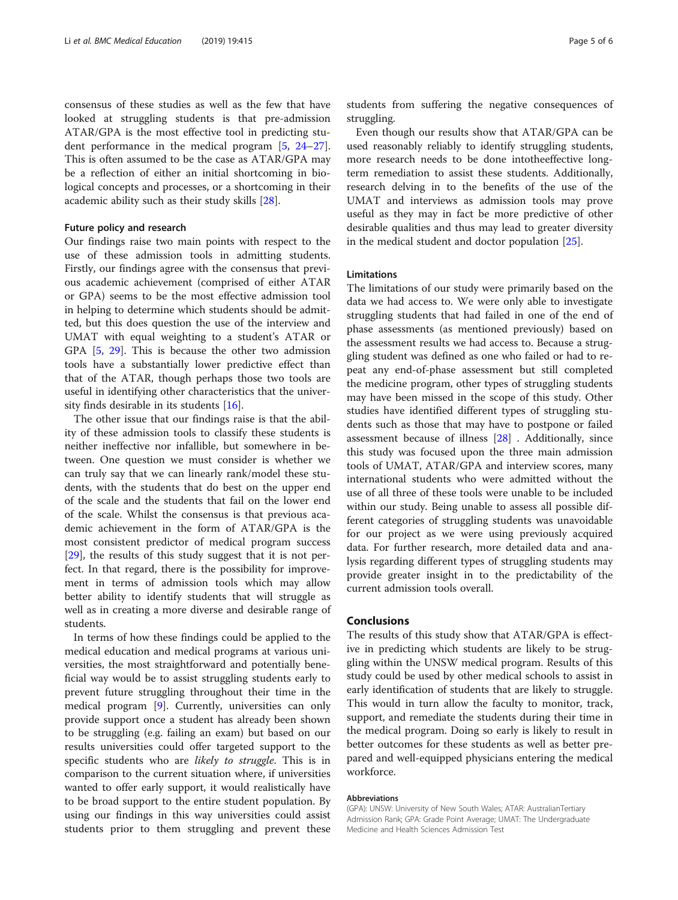consensus of these studies as well as the few that have looked at struggling students is that pre-admission ATAR/GPA is the most effective tool in predicting student performance in the medical program [[5](#page-5-0), [24](#page-5-0)–[27](#page-5-0)]. This is often assumed to be the case as ATAR/GPA may be a reflection of either an initial shortcoming in biological concepts and processes, or a shortcoming in their academic ability such as their study skills [\[28](#page-5-0)].

## Future policy and research

Our findings raise two main points with respect to the use of these admission tools in admitting students. Firstly, our findings agree with the consensus that previous academic achievement (comprised of either ATAR or GPA) seems to be the most effective admission tool in helping to determine which students should be admitted, but this does question the use of the interview and UMAT with equal weighting to a student's ATAR or GPA [\[5](#page-5-0), [29\]](#page-5-0). This is because the other two admission tools have a substantially lower predictive effect than that of the ATAR, though perhaps those two tools are useful in identifying other characteristics that the university finds desirable in its students [\[16\]](#page-5-0).

The other issue that our findings raise is that the ability of these admission tools to classify these students is neither ineffective nor infallible, but somewhere in between. One question we must consider is whether we can truly say that we can linearly rank/model these students, with the students that do best on the upper end of the scale and the students that fail on the lower end of the scale. Whilst the consensus is that previous academic achievement in the form of ATAR/GPA is the most consistent predictor of medical program success [[29\]](#page-5-0), the results of this study suggest that it is not perfect. In that regard, there is the possibility for improvement in terms of admission tools which may allow better ability to identify students that will struggle as well as in creating a more diverse and desirable range of students.

In terms of how these findings could be applied to the medical education and medical programs at various universities, the most straightforward and potentially beneficial way would be to assist struggling students early to prevent future struggling throughout their time in the medical program [\[9\]](#page-5-0). Currently, universities can only provide support once a student has already been shown to be struggling (e.g. failing an exam) but based on our results universities could offer targeted support to the specific students who are *likely to struggle*. This is in comparison to the current situation where, if universities wanted to offer early support, it would realistically have to be broad support to the entire student population. By using our findings in this way universities could assist students prior to them struggling and prevent these students from suffering the negative consequences of struggling.

Even though our results show that ATAR/GPA can be used reasonably reliably to identify struggling students, more research needs to be done intotheeffective longterm remediation to assist these students. Additionally, research delving in to the benefits of the use of the UMAT and interviews as admission tools may prove useful as they may in fact be more predictive of other desirable qualities and thus may lead to greater diversity in the medical student and doctor population [\[25](#page-5-0)].

## Limitations

The limitations of our study were primarily based on the data we had access to. We were only able to investigate struggling students that had failed in one of the end of phase assessments (as mentioned previously) based on the assessment results we had access to. Because a struggling student was defined as one who failed or had to repeat any end-of-phase assessment but still completed the medicine program, other types of struggling students may have been missed in the scope of this study. Other studies have identified different types of struggling students such as those that may have to postpone or failed assessment because of illness [[28](#page-5-0)] . Additionally, since this study was focused upon the three main admission tools of UMAT, ATAR/GPA and interview scores, many international students who were admitted without the use of all three of these tools were unable to be included within our study. Being unable to assess all possible different categories of struggling students was unavoidable for our project as we were using previously acquired data. For further research, more detailed data and analysis regarding different types of struggling students may provide greater insight in to the predictability of the current admission tools overall.

## Conclusions

The results of this study show that ATAR/GPA is effective in predicting which students are likely to be struggling within the UNSW medical program. Results of this study could be used by other medical schools to assist in early identification of students that are likely to struggle. This would in turn allow the faculty to monitor, track, support, and remediate the students during their time in the medical program. Doing so early is likely to result in better outcomes for these students as well as better prepared and well-equipped physicians entering the medical workforce.

#### Abbreviations

(GPA): UNSW: University of New South Wales; ATAR: AustralianTertiary Admission Rank; GPA: Grade Point Average; UMAT: The Undergraduate Medicine and Health Sciences Admission Test